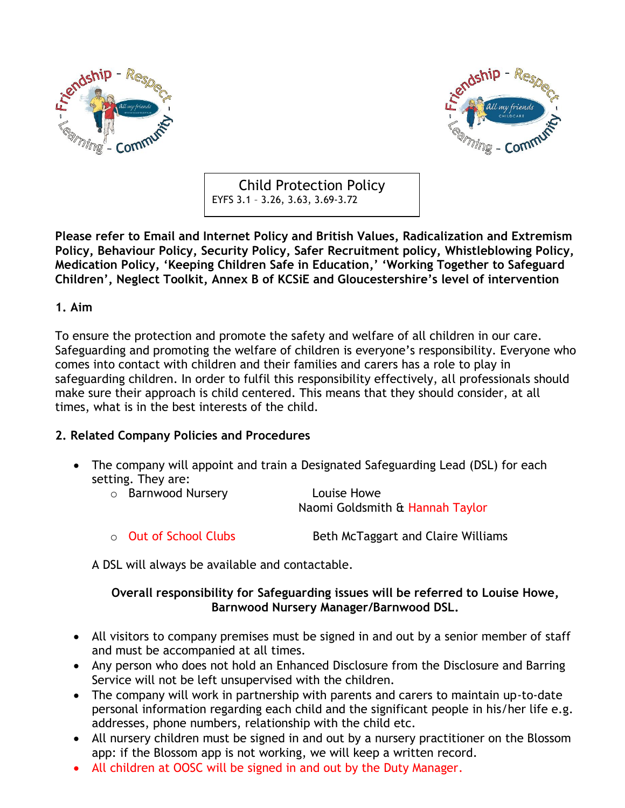



Child Protection Policy EYFS 3.1 – 3.26, 3.63, 3.69-3.72

**Please refer to Email and Internet Policy and British Values, Radicalization and Extremism Policy, Behaviour Policy, Security Policy, Safer Recruitment policy, Whistleblowing Policy, Medication Policy, 'Keeping Children Safe in Education,' 'Working Together to Safeguard Children', Neglect Toolkit, Annex B of KCSiE and Gloucestershire's level of intervention**

#### **1. Aim**

To ensure the protection and promote the safety and welfare of all children in our care. Safeguarding and promoting the welfare of children is everyone's responsibility. Everyone who comes into contact with children and their families and carers has a role to play in safeguarding children. In order to fulfil this responsibility effectively, all professionals should make sure their approach is child centered. This means that they should consider, at all times, what is in the best interests of the child.

#### **2. Related Company Policies and Procedures**

• The company will appoint and train a Designated Safeguarding Lead (DSL) for each setting. They are:

| o Barnwood Nursery | Louise Howe                     |
|--------------------|---------------------------------|
|                    | Naomi Goldsmith & Hannah Taylor |

 $\circ$  Out of School Clubs  $\circ$  Beth McTaggart and Claire Williams

A DSL will always be available and contactable.

#### **Overall responsibility for Safeguarding issues will be referred to Louise Howe, Barnwood Nursery Manager/Barnwood DSL.**

- All visitors to company premises must be signed in and out by a senior member of staff and must be accompanied at all times.
- Any person who does not hold an Enhanced Disclosure from the Disclosure and Barring Service will not be left unsupervised with the children.
- The company will work in partnership with parents and carers to maintain up-to-date personal information regarding each child and the significant people in his/her life e.g. addresses, phone numbers, relationship with the child etc.
- All nursery children must be signed in and out by a nursery practitioner on the Blossom app: if the Blossom app is not working, we will keep a written record.
- All children at OOSC will be signed in and out by the Duty Manager.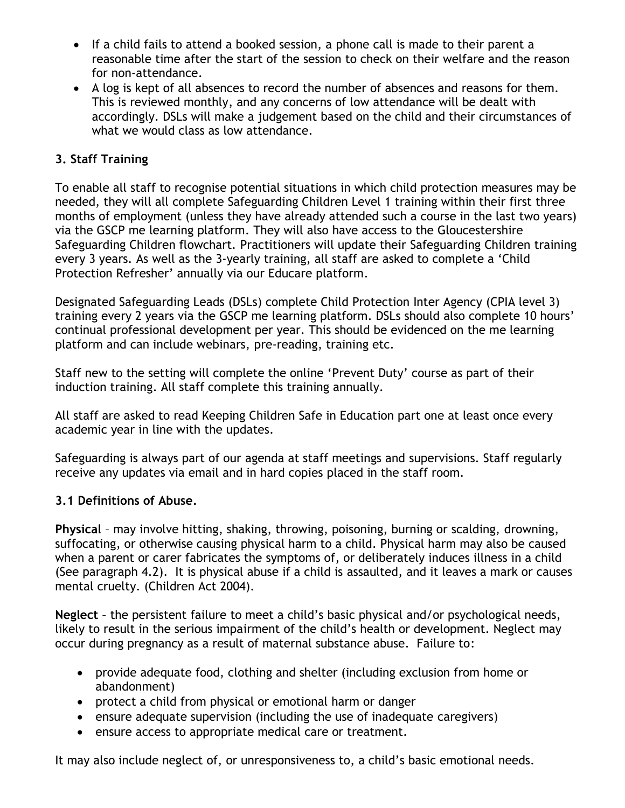- If a child fails to attend a booked session, a phone call is made to their parent a reasonable time after the start of the session to check on their welfare and the reason for non-attendance.
- A log is kept of all absences to record the number of absences and reasons for them. This is reviewed monthly, and any concerns of low attendance will be dealt with accordingly. DSLs will make a judgement based on the child and their circumstances of what we would class as low attendance.

## **3. Staff Training**

To enable all staff to recognise potential situations in which child protection measures may be needed, they will all complete Safeguarding Children Level 1 training within their first three months of employment (unless they have already attended such a course in the last two years) via the GSCP me learning platform. They will also have access to the Gloucestershire Safeguarding Children flowchart. Practitioners will update their Safeguarding Children training every 3 years. As well as the 3-yearly training, all staff are asked to complete a 'Child Protection Refresher' annually via our Educare platform.

Designated Safeguarding Leads (DSLs) complete Child Protection Inter Agency (CPIA level 3) training every 2 years via the GSCP me learning platform. DSLs should also complete 10 hours' continual professional development per year. This should be evidenced on the me learning platform and can include webinars, pre-reading, training etc.

Staff new to the setting will complete the online 'Prevent Duty' course as part of their induction training. All staff complete this training annually.

All staff are asked to read Keeping Children Safe in Education part one at least once every academic year in line with the updates.

Safeguarding is always part of our agenda at staff meetings and supervisions. Staff regularly receive any updates via email and in hard copies placed in the staff room.

### **3.1 Definitions of Abuse.**

**Physical** – may involve hitting, shaking, throwing, poisoning, burning or scalding, drowning, suffocating, or otherwise causing physical harm to a child. Physical harm may also be caused when a parent or carer fabricates the symptoms of, or deliberately induces illness in a child (See paragraph 4.2). It is physical abuse if a child is assaulted, and it leaves a mark or causes mental cruelty. (Children Act 2004).

**Neglect** – the persistent failure to meet a child's basic physical and/or psychological needs, likely to result in the serious impairment of the child's health or development. Neglect may occur during pregnancy as a result of maternal substance abuse. Failure to:

- provide adequate food, clothing and shelter (including exclusion from home or abandonment)
- protect a child from physical or emotional harm or danger
- ensure adequate supervision (including the use of inadequate caregivers)
- ensure access to appropriate medical care or treatment.

It may also include neglect of, or unresponsiveness to, a child's basic emotional needs.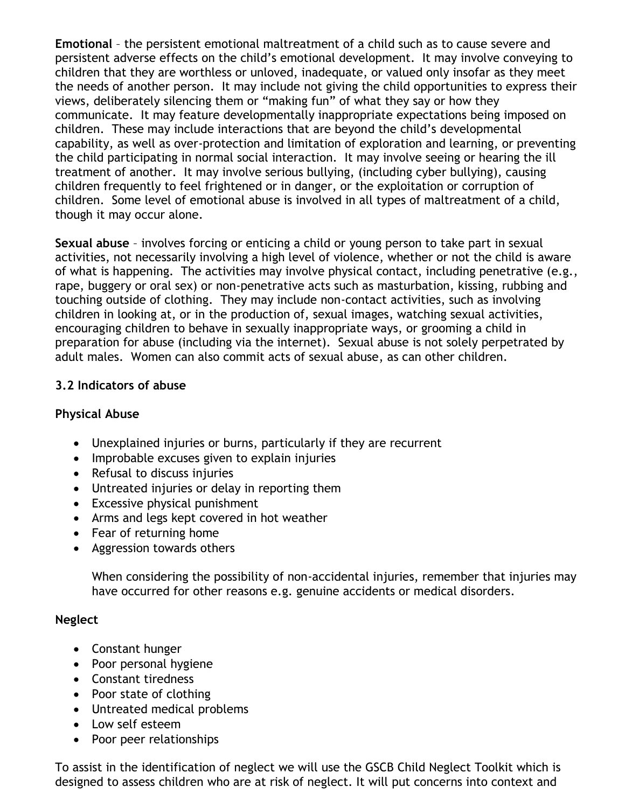**Emotional** – the persistent emotional maltreatment of a child such as to cause severe and persistent adverse effects on the child's emotional development. It may involve conveying to children that they are worthless or unloved, inadequate, or valued only insofar as they meet the needs of another person. It may include not giving the child opportunities to express their views, deliberately silencing them or "making fun" of what they say or how they communicate. It may feature developmentally inappropriate expectations being imposed on children. These may include interactions that are beyond the child's developmental capability, as well as over-protection and limitation of exploration and learning, or preventing the child participating in normal social interaction. It may involve seeing or hearing the ill treatment of another. It may involve serious bullying, (including cyber bullying), causing children frequently to feel frightened or in danger, or the exploitation or corruption of children. Some level of emotional abuse is involved in all types of maltreatment of a child, though it may occur alone.

**Sexual abuse** – involves forcing or enticing a child or young person to take part in sexual activities, not necessarily involving a high level of violence, whether or not the child is aware of what is happening. The activities may involve physical contact, including penetrative (e.g., rape, buggery or oral sex) or non-penetrative acts such as masturbation, kissing, rubbing and touching outside of clothing. They may include non-contact activities, such as involving children in looking at, or in the production of, sexual images, watching sexual activities, encouraging children to behave in sexually inappropriate ways, or grooming a child in preparation for abuse (including via the internet). Sexual abuse is not solely perpetrated by adult males. Women can also commit acts of sexual abuse, as can other children.

### **3.2 Indicators of abuse**

### **Physical Abuse**

- Unexplained injuries or burns, particularly if they are recurrent
- Improbable excuses given to explain injuries
- Refusal to discuss injuries
- Untreated injuries or delay in reporting them
- Excessive physical punishment
- Arms and legs kept covered in hot weather
- Fear of returning home
- Aggression towards others

When considering the possibility of non-accidental injuries, remember that injuries may have occurred for other reasons e.g. genuine accidents or medical disorders.

### **Neglect**

- Constant hunger
- Poor personal hygiene
- Constant tiredness
- Poor state of clothing
- Untreated medical problems
- Low self esteem
- Poor peer relationships

To assist in the identification of neglect we will use the GSCB Child Neglect Toolkit which is designed to assess children who are at risk of neglect. It will put concerns into context and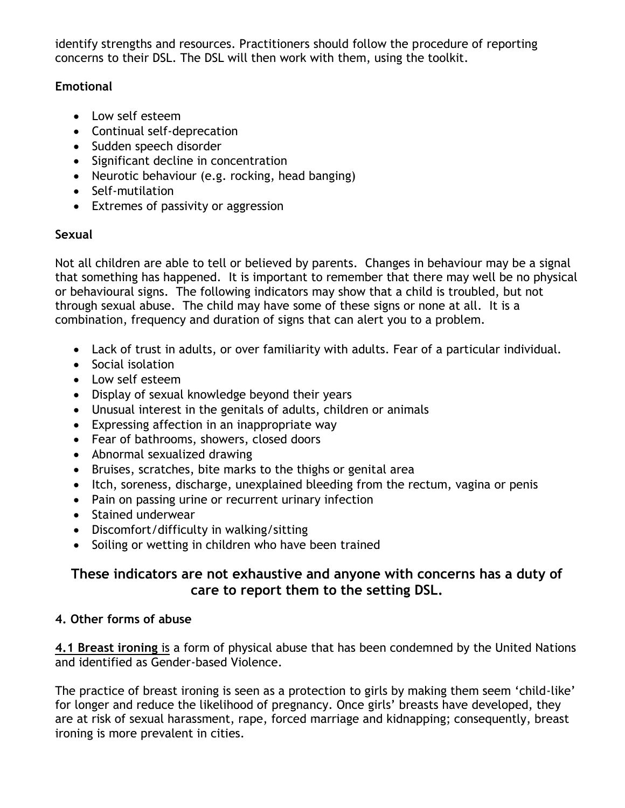identify strengths and resources. Practitioners should follow the procedure of reporting concerns to their DSL. The DSL will then work with them, using the toolkit.

## **Emotional**

- Low self esteem
- Continual self-deprecation
- Sudden speech disorder
- Significant decline in concentration
- Neurotic behaviour (e.g. rocking, head banging)
- Self-mutilation
- Extremes of passivity or aggression

## **Sexual**

Not all children are able to tell or believed by parents. Changes in behaviour may be a signal that something has happened. It is important to remember that there may well be no physical or behavioural signs. The following indicators may show that a child is troubled, but not through sexual abuse. The child may have some of these signs or none at all. It is a combination, frequency and duration of signs that can alert you to a problem.

- Lack of trust in adults, or over familiarity with adults. Fear of a particular individual.
- Social isolation
- Low self esteem
- Display of sexual knowledge beyond their years
- Unusual interest in the genitals of adults, children or animals
- Expressing affection in an inappropriate way
- Fear of bathrooms, showers, closed doors
- Abnormal sexualized drawing
- Bruises, scratches, bite marks to the thighs or genital area
- Itch, soreness, discharge, unexplained bleeding from the rectum, vagina or penis
- Pain on passing urine or recurrent urinary infection
- Stained underwear
- Discomfort/difficulty in walking/sitting
- Soiling or wetting in children who have been trained

# **These indicators are not exhaustive and anyone with concerns has a duty of care to report them to the setting DSL.**

## **4. Other forms of abuse**

**4.1 Breast ironing** is a form of physical abuse that has been condemned by the United Nations and identified as Gender-based Violence.

The practice of breast ironing is seen as a protection to girls by making them seem 'child-like' for longer and reduce the likelihood of pregnancy. Once girls' breasts have developed, they are at risk of sexual harassment, rape, forced marriage and kidnapping; consequently, breast ironing is more prevalent in cities.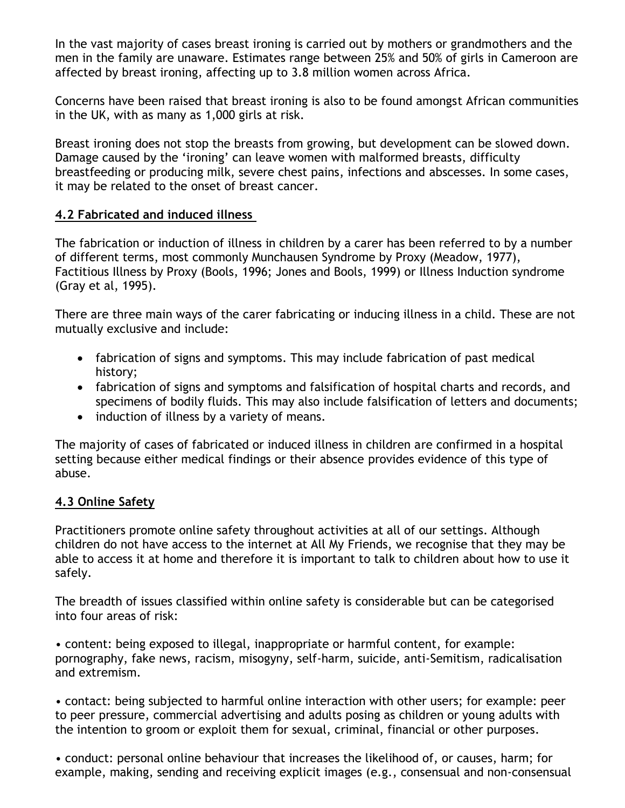In the vast majority of cases breast ironing is carried out by mothers or grandmothers and the men in the family are unaware. Estimates range between 25% and 50% of girls in Cameroon are affected by breast ironing, affecting up to 3.8 million women across Africa.

Concerns have been raised that breast ironing is also to be found amongst African communities in the UK, with as many as 1,000 girls at risk.

Breast ironing does not stop the breasts from growing, but development can be slowed down. Damage caused by the 'ironing' can leave women with malformed breasts, difficulty breastfeeding or producing milk, severe chest pains, infections and abscesses. In some cases, it may be related to the onset of breast cancer.

### **4.2 Fabricated and induced illness**

The fabrication or induction of illness in children by a carer has been referred to by a number of different terms, most commonly Munchausen Syndrome by Proxy (Meadow, 1977), Factitious Illness by Proxy (Bools, 1996; Jones and Bools, 1999) or Illness Induction syndrome (Gray et al, 1995).

There are three main ways of the carer fabricating or inducing illness in a child. These are not mutually exclusive and include:

- fabrication of signs and symptoms. This may include fabrication of past medical history;
- fabrication of signs and symptoms and falsification of hospital charts and records, and specimens of bodily fluids. This may also include falsification of letters and documents;
- induction of illness by a variety of means.

The majority of cases of fabricated or induced illness in children are confirmed in a hospital setting because either medical findings or their absence provides evidence of this type of abuse.

### **4.3 Online Safety**

Practitioners promote online safety throughout activities at all of our settings. Although children do not have access to the internet at All My Friends, we recognise that they may be able to access it at home and therefore it is important to talk to children about how to use it safely.

The breadth of issues classified within online safety is considerable but can be categorised into four areas of risk:

• content: being exposed to illegal, inappropriate or harmful content, for example: pornography, fake news, racism, misogyny, self-harm, suicide, anti-Semitism, radicalisation and extremism.

• contact: being subjected to harmful online interaction with other users; for example: peer to peer pressure, commercial advertising and adults posing as children or young adults with the intention to groom or exploit them for sexual, criminal, financial or other purposes.

• conduct: personal online behaviour that increases the likelihood of, or causes, harm; for example, making, sending and receiving explicit images (e.g., consensual and non-consensual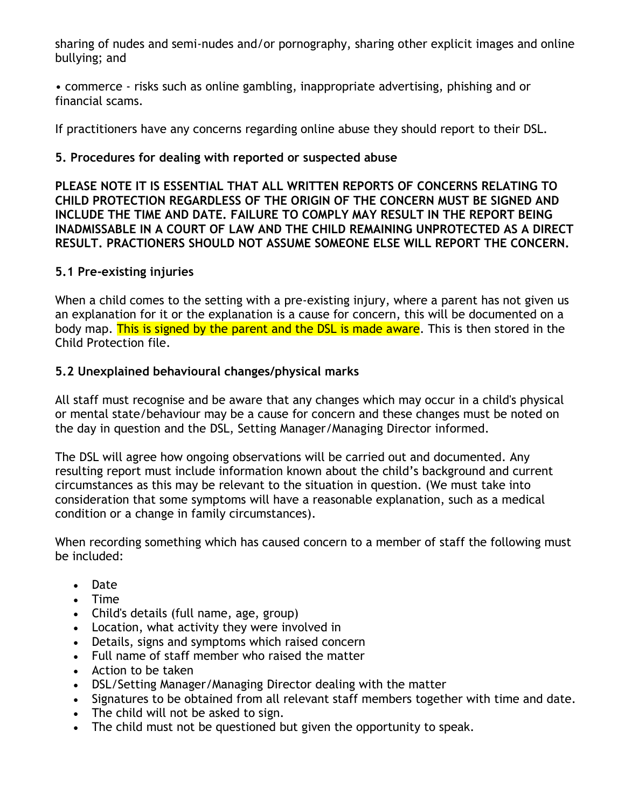sharing of nudes and semi-nudes and/or pornography, sharing other explicit images and online bullying; and

• commerce - risks such as online gambling, inappropriate advertising, phishing and or financial scams.

If practitioners have any concerns regarding online abuse they should report to their DSL.

#### **5. Procedures for dealing with reported or suspected abuse**

**PLEASE NOTE IT IS ESSENTIAL THAT ALL WRITTEN REPORTS OF CONCERNS RELATING TO CHILD PROTECTION REGARDLESS OF THE ORIGIN OF THE CONCERN MUST BE SIGNED AND INCLUDE THE TIME AND DATE. FAILURE TO COMPLY MAY RESULT IN THE REPORT BEING INADMISSABLE IN A COURT OF LAW AND THE CHILD REMAINING UNPROTECTED AS A DIRECT RESULT. PRACTIONERS SHOULD NOT ASSUME SOMEONE ELSE WILL REPORT THE CONCERN.**

#### **5.1 Pre-existing injuries**

When a child comes to the setting with a pre-existing injury, where a parent has not given us an explanation for it or the explanation is a cause for concern, this will be documented on a body map. This is signed by the parent and the DSL is made aware. This is then stored in the Child Protection file.

#### **5.2 Unexplained behavioural changes/physical marks**

All staff must recognise and be aware that any changes which may occur in a child's physical or mental state/behaviour may be a cause for concern and these changes must be noted on the day in question and the DSL, Setting Manager/Managing Director informed.

The DSL will agree how ongoing observations will be carried out and documented. Any resulting report must include information known about the child's background and current circumstances as this may be relevant to the situation in question. (We must take into consideration that some symptoms will have a reasonable explanation, such as a medical condition or a change in family circumstances).

When recording something which has caused concern to a member of staff the following must be included:

- Date
- Time
- Child's details (full name, age, group)
- Location, what activity they were involved in
- Details, signs and symptoms which raised concern
- Full name of staff member who raised the matter
- Action to be taken
- DSL/Setting Manager/Managing Director dealing with the matter
- Signatures to be obtained from all relevant staff members together with time and date.
- The child will not be asked to sign.
- The child must not be questioned but given the opportunity to speak.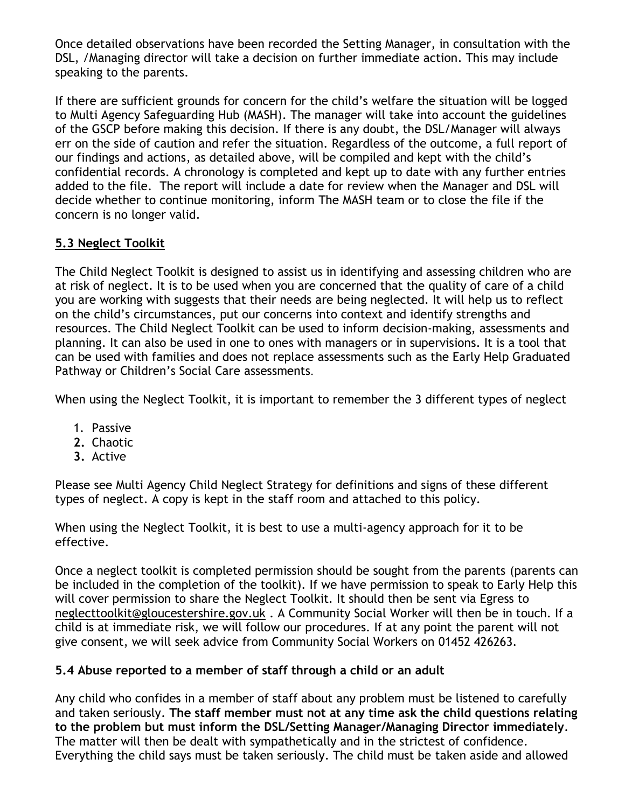Once detailed observations have been recorded the Setting Manager, in consultation with the DSL, /Managing director will take a decision on further immediate action. This may include speaking to the parents.

If there are sufficient grounds for concern for the child's welfare the situation will be logged to Multi Agency Safeguarding Hub (MASH). The manager will take into account the guidelines of the GSCP before making this decision. If there is any doubt, the DSL/Manager will always err on the side of caution and refer the situation. Regardless of the outcome, a full report of our findings and actions, as detailed above, will be compiled and kept with the child's confidential records. A chronology is completed and kept up to date with any further entries added to the file. The report will include a date for review when the Manager and DSL will decide whether to continue monitoring, inform The MASH team or to close the file if the concern is no longer valid.

## **5.3 Neglect Toolkit**

The Child Neglect Toolkit is designed to assist us in identifying and assessing children who are at risk of neglect. It is to be used when you are concerned that the quality of care of a child you are working with suggests that their needs are being neglected. It will help us to reflect on the child's circumstances, put our concerns into context and identify strengths and resources. The Child Neglect Toolkit can be used to inform decision-making, assessments and planning. It can also be used in one to ones with managers or in supervisions. It is a tool that can be used with families and does not replace assessments such as the Early Help Graduated Pathway or Children's Social Care assessments.

When using the Neglect Toolkit, it is important to remember the 3 different types of neglect

- 1. Passive
- **2.** Chaotic
- **3.** Active

Please see Multi Agency Child Neglect Strategy for definitions and signs of these different types of neglect. A copy is kept in the staff room and attached to this policy.

When using the Neglect Toolkit, it is best to use a multi-agency approach for it to be effective.

Once a neglect toolkit is completed permission should be sought from the parents (parents can be included in the completion of the toolkit). If we have permission to speak to Early Help this will cover permission to share the Neglect Toolkit. It should then be sent via Egress to [neglecttoolkit@gloucestershire.gov.uk](mailto:neglecttoolkit@gloucestershire.gov.uk) . A Community Social Worker will then be in touch. If a child is at immediate risk, we will follow our procedures. If at any point the parent will not give consent, we will seek advice from Community Social Workers on 01452 426263.

### **5.4 Abuse reported to a member of staff through a child or an adult**

Any child who confides in a member of staff about any problem must be listened to carefully and taken seriously. **The staff member must not at any time ask the child questions relating to the problem but must inform the DSL/Setting Manager/Managing Director immediately**. The matter will then be dealt with sympathetically and in the strictest of confidence. Everything the child says must be taken seriously. The child must be taken aside and allowed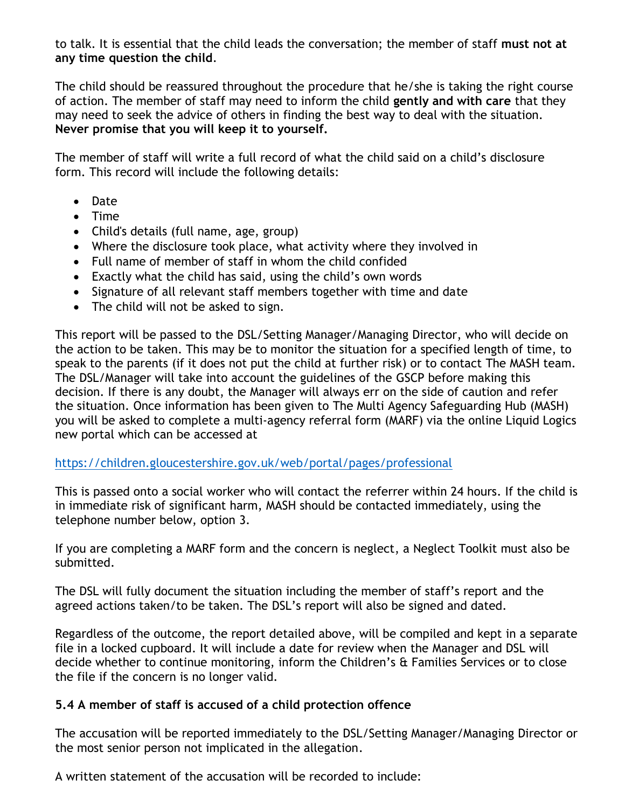to talk. It is essential that the child leads the conversation; the member of staff **must not at any time question the child**.

The child should be reassured throughout the procedure that he/she is taking the right course of action. The member of staff may need to inform the child **gently and with care** that they may need to seek the advice of others in finding the best way to deal with the situation. **Never promise that you will keep it to yourself.**

The member of staff will write a full record of what the child said on a child's disclosure form. This record will include the following details:

- Date
- Time
- Child's details (full name, age, group)
- Where the disclosure took place, what activity where they involved in
- Full name of member of staff in whom the child confided
- Exactly what the child has said, using the child's own words
- Signature of all relevant staff members together with time and date
- The child will not be asked to sign.

This report will be passed to the DSL/Setting Manager/Managing Director, who will decide on the action to be taken. This may be to monitor the situation for a specified length of time, to speak to the parents (if it does not put the child at further risk) or to contact The MASH team. The DSL/Manager will take into account the guidelines of the GSCP before making this decision. If there is any doubt, the Manager will always err on the side of caution and refer the situation. Once information has been given to The Multi Agency Safeguarding Hub (MASH) you will be asked to complete a multi-agency referral form (MARF) via the online Liquid Logics new portal which can be accessed at

#### <https://children.gloucestershire.gov.uk/web/portal/pages/professional>

This is passed onto a social worker who will contact the referrer within 24 hours. If the child is in immediate risk of significant harm, MASH should be contacted immediately, using the telephone number below, option 3.

If you are completing a MARF form and the concern is neglect, a Neglect Toolkit must also be submitted.

The DSL will fully document the situation including the member of staff's report and the agreed actions taken/to be taken. The DSL's report will also be signed and dated.

Regardless of the outcome, the report detailed above, will be compiled and kept in a separate file in a locked cupboard. It will include a date for review when the Manager and DSL will decide whether to continue monitoring, inform the Children's & Families Services or to close the file if the concern is no longer valid.

### **5.4 A member of staff is accused of a child protection offence**

The accusation will be reported immediately to the DSL/Setting Manager/Managing Director or the most senior person not implicated in the allegation.

A written statement of the accusation will be recorded to include: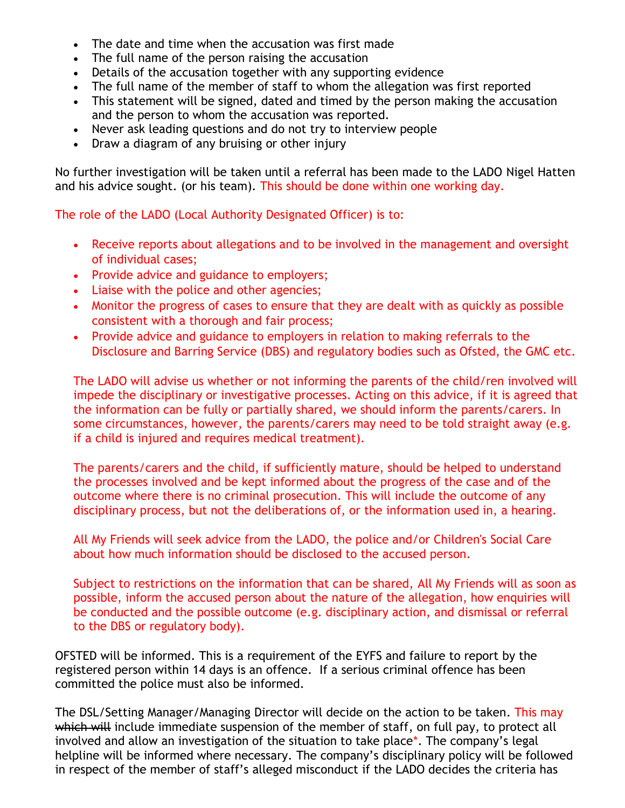- The date and time when the accusation was first made
- The full name of the person raising the accusation
- Details of the accusation together with any supporting evidence
- The full name of the member of staff to whom the allegation was first reported
- This statement will be signed, dated and timed by the person making the accusation and the person to whom the accusation was reported.
- Never ask leading questions and do not try to interview people
- Draw a diagram of any bruising or other injury

No further investigation will be taken until a referral has been made to the LADO Nigel Hatten and his advice sought. (or his team). This should be done within one working day.

The role of the LADO (Local Authority Designated Officer) is to:

- Receive reports about allegations and to be involved in the management and oversight of individual cases;
- Provide advice and guidance to employers;
- Liaise with the police and other agencies;
- Monitor the progress of cases to ensure that they are dealt with as quickly as possible consistent with a thorough and fair process;
- Provide advice and guidance to employers in relation to making referrals to the Disclosure and Barring Service (DBS) and regulatory bodies such as Ofsted, the GMC etc.

The LADO will advise us whether or not informing the parents of the child/ren involved will impede the disciplinary or investigative processes. Acting on this advice, if it is agreed that the information can be fully or partially shared, we should inform the parents/carers. In some circumstances, however, the parents/carers may need to be told straight away (e.g. if a child is injured and requires medical treatment).

The parents/carers and the child, if sufficiently mature, should be helped to understand the processes involved and be kept informed about the progress of the case and of the outcome where there is no criminal prosecution. This will include the outcome of any disciplinary process, but not the deliberations of, or the information used in, a hearing.

All My Friends will seek advice from the LADO, the police and/or Children's Social Care about how much information should be disclosed to the accused person.

Subject to restrictions on the information that can be shared, All My Friends will as soon as possible, inform the accused person about the nature of the allegation, how enquiries will be conducted and the possible outcome (e.g. disciplinary action, and dismissal or referral to the DBS or regulatory body).

OFSTED will be informed. This is a requirement of the EYFS and failure to report by the registered person within 14 days is an offence. If a serious criminal offence has been committed the police must also be informed.

The DSL/Setting Manager/Managing Director will decide on the action to be taken. This may which will include immediate suspension of the member of staff, on full pay, to protect all involved and allow an investigation of the situation to take place\*. The company's legal helpline will be informed where necessary. The company's disciplinary policy will be followed in respect of the member of staff's alleged misconduct if the LADO decides the criteria has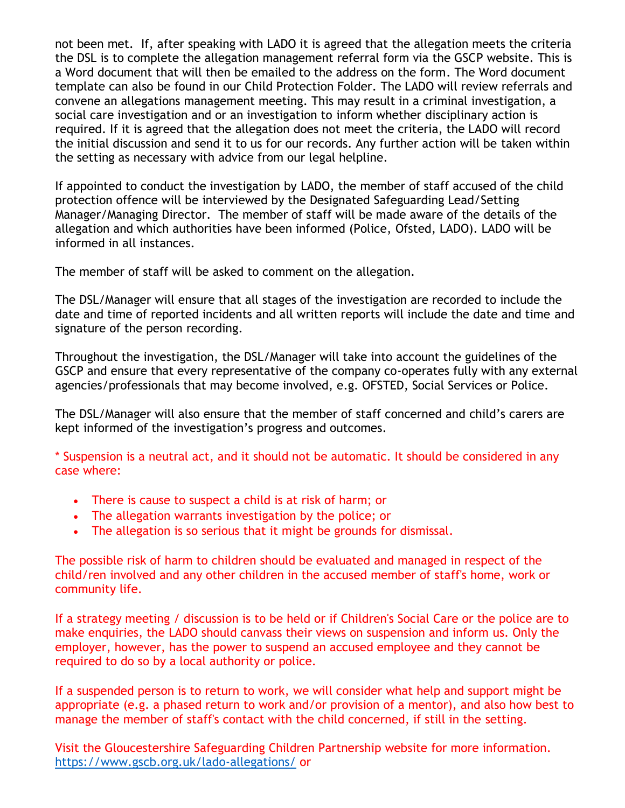not been met. If, after speaking with LADO it is agreed that the allegation meets the criteria the DSL is to complete the allegation management referral form via the GSCP website. This is a Word document that will then be emailed to the address on the form. The Word document template can also be found in our Child Protection Folder. The LADO will review referrals and convene an allegations management meeting. This may result in a criminal investigation, a social care investigation and or an investigation to inform whether disciplinary action is required. If it is agreed that the allegation does not meet the criteria, the LADO will record the initial discussion and send it to us for our records. Any further action will be taken within the setting as necessary with advice from our legal helpline.

If appointed to conduct the investigation by LADO, the member of staff accused of the child protection offence will be interviewed by the Designated Safeguarding Lead/Setting Manager/Managing Director. The member of staff will be made aware of the details of the allegation and which authorities have been informed (Police, Ofsted, LADO). LADO will be informed in all instances.

The member of staff will be asked to comment on the allegation.

The DSL/Manager will ensure that all stages of the investigation are recorded to include the date and time of reported incidents and all written reports will include the date and time and signature of the person recording.

Throughout the investigation, the DSL/Manager will take into account the guidelines of the GSCP and ensure that every representative of the company co-operates fully with any external agencies/professionals that may become involved, e.g. OFSTED, Social Services or Police.

The DSL/Manager will also ensure that the member of staff concerned and child's carers are kept informed of the investigation's progress and outcomes.

\* Suspension is a neutral act, and it should not be automatic. It should be considered in any case where:

- There is cause to suspect a child is at risk of harm; or
- The allegation warrants investigation by the police; or
- The allegation is so serious that it might be grounds for dismissal.

The possible risk of harm to children should be evaluated and managed in respect of the child/ren involved and any other children in the accused member of staff's home, work or community life.

If a strategy meeting / discussion is to be held or if Children's Social Care or the police are to make enquiries, the LADO should canvass their views on suspension and inform us. Only the employer, however, has the power to suspend an accused employee and they cannot be required to do so by a local authority or police.

If a suspended person is to return to work, we will consider what help and support might be appropriate (e.g. a phased return to work and/or provision of a mentor), and also how best to manage the member of staff's contact with the child concerned, if still in the setting.

Visit the Gloucestershire Safeguarding Children Partnership website for more information. <https://www.gscb.org.uk/lado-allegations/> or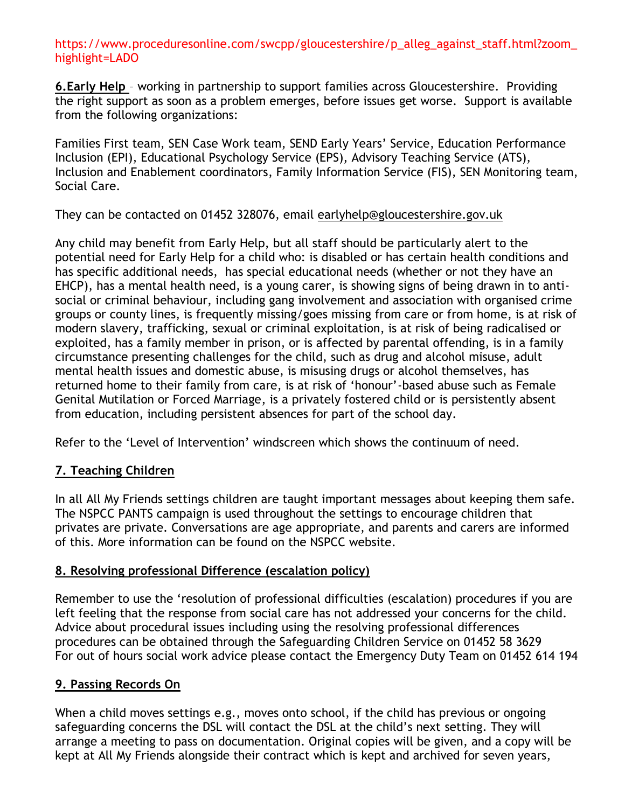#### https://www.proceduresonline.com/swcpp/gloucestershire/p\_alleg\_against\_staff.html?zoom\_ highlight=LADO

**6.Early Help** – working in partnership to support families across Gloucestershire. Providing the right support as soon as a problem emerges, before issues get worse. Support is available from the following organizations:

Families First team, SEN Case Work team, SEND Early Years' Service, Education Performance Inclusion (EPI), Educational Psychology Service (EPS), Advisory Teaching Service (ATS), Inclusion and Enablement coordinators, Family Information Service (FIS), SEN Monitoring team, Social Care.

They can be contacted on 01452 328076, email [earlyhelp@gloucestershire.gov.uk](mailto:earlyhelp@gloucestershire.gov.uk)

Any child may benefit from Early Help, but all staff should be particularly alert to the potential need for Early Help for a child who: is disabled or has certain health conditions and has specific additional needs, has special educational needs (whether or not they have an EHCP), has a mental health need, is a young carer, is showing signs of being drawn in to antisocial or criminal behaviour, including gang involvement and association with organised crime groups or county lines, is frequently missing/goes missing from care or from home, is at risk of modern slavery, trafficking, sexual or criminal exploitation, is at risk of being radicalised or exploited, has a family member in prison, or is affected by parental offending, is in a family circumstance presenting challenges for the child, such as drug and alcohol misuse, adult mental health issues and domestic abuse, is misusing drugs or alcohol themselves, has returned home to their family from care, is at risk of 'honour'-based abuse such as Female Genital Mutilation or Forced Marriage, is a privately fostered child or is persistently absent from education, including persistent absences for part of the school day.

Refer to the 'Level of Intervention' windscreen which shows the continuum of need.

### **7. Teaching Children**

In all All My Friends settings children are taught important messages about keeping them safe. The NSPCC PANTS campaign is used throughout the settings to encourage children that privates are private. Conversations are age appropriate, and parents and carers are informed of this. More information can be found on the NSPCC website.

### **8. Resolving professional Difference (escalation policy)**

Remember to use the 'resolution of professional difficulties (escalation) procedures if you are left feeling that the response from social care has not addressed your concerns for the child. Advice about procedural issues including using the resolving professional differences procedures can be obtained through the Safeguarding Children Service on 01452 58 3629 For out of hours social work advice please contact the Emergency Duty Team on 01452 614 194

### **9. Passing Records On**

When a child moves settings e.g., moves onto school, if the child has previous or ongoing safeguarding concerns the DSL will contact the DSL at the child's next setting. They will arrange a meeting to pass on documentation. Original copies will be given, and a copy will be kept at All My Friends alongside their contract which is kept and archived for seven years,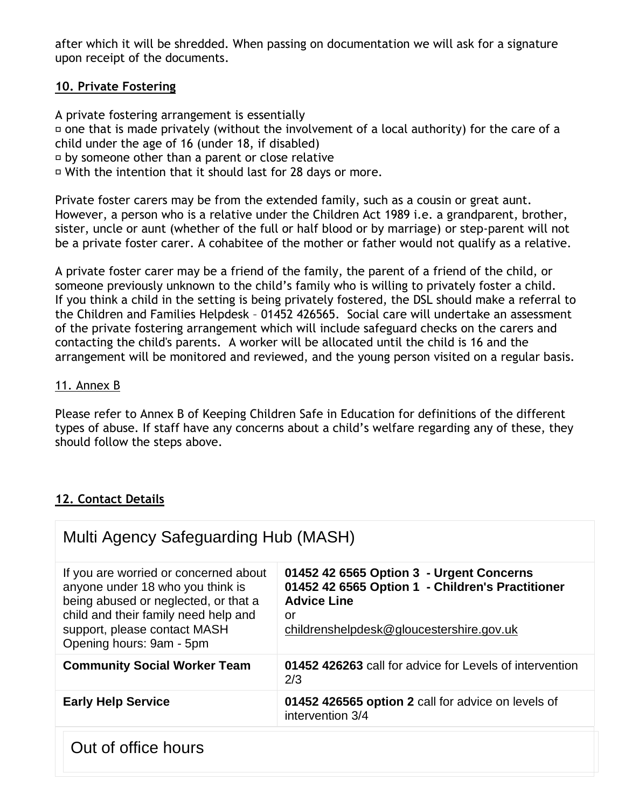after which it will be shredded. When passing on documentation we will ask for a signature upon receipt of the documents.

### **10. Private Fostering**

A private fostering arrangement is essentially  $\overline{p}$  one that is made privately (without the involvement of a local authority) for the care of a child under the age of 16 (under 18, if disabled) by someone other than a parent or close relative With the intention that it should last for 28 days or more.

Private foster carers may be from the extended family, such as a cousin or great aunt. However, a person who is a relative under the Children Act 1989 i.e. a grandparent, brother, sister, uncle or aunt (whether of the full or half blood or by marriage) or step-parent will not be a private foster carer. A cohabitee of the mother or father would not qualify as a relative.

A private foster carer may be a friend of the family, the parent of a friend of the child, or someone previously unknown to the child's family who is willing to privately foster a child. If you think a child in the setting is being privately fostered, the DSL should make a referral to the Children and Families Helpdesk – 01452 426565. Social care will undertake an assessment of the private fostering arrangement which will include safeguard checks on the carers and contacting the child's parents. A worker will be allocated until the child is 16 and the arrangement will be monitored and reviewed, and the young person visited on a regular basis.

### 11. Annex B

Please refer to Annex B of Keeping Children Safe in Education for definitions of the different types of abuse. If staff have any concerns about a child's welfare regarding any of these, they should follow the steps above.

## **12. Contact Details**

| Multi Agency Safeguarding Hub (MASH)                                                                                                                                                                                  |                                                                                                                                                                      |  |
|-----------------------------------------------------------------------------------------------------------------------------------------------------------------------------------------------------------------------|----------------------------------------------------------------------------------------------------------------------------------------------------------------------|--|
| If you are worried or concerned about<br>anyone under 18 who you think is<br>being abused or neglected, or that a<br>child and their family need help and<br>support, please contact MASH<br>Opening hours: 9am - 5pm | 01452 42 6565 Option 3 - Urgent Concerns<br>01452 42 6565 Option 1 - Children's Practitioner<br><b>Advice Line</b><br>or<br>childrenshelpdesk@gloucestershire.gov.uk |  |
| <b>Community Social Worker Team</b>                                                                                                                                                                                   | 01452 426263 call for advice for Levels of intervention<br>2/3                                                                                                       |  |
| <b>Early Help Service</b>                                                                                                                                                                                             | 01452 426565 option 2 call for advice on levels of<br>intervention 3/4                                                                                               |  |
| Out of office hours                                                                                                                                                                                                   |                                                                                                                                                                      |  |